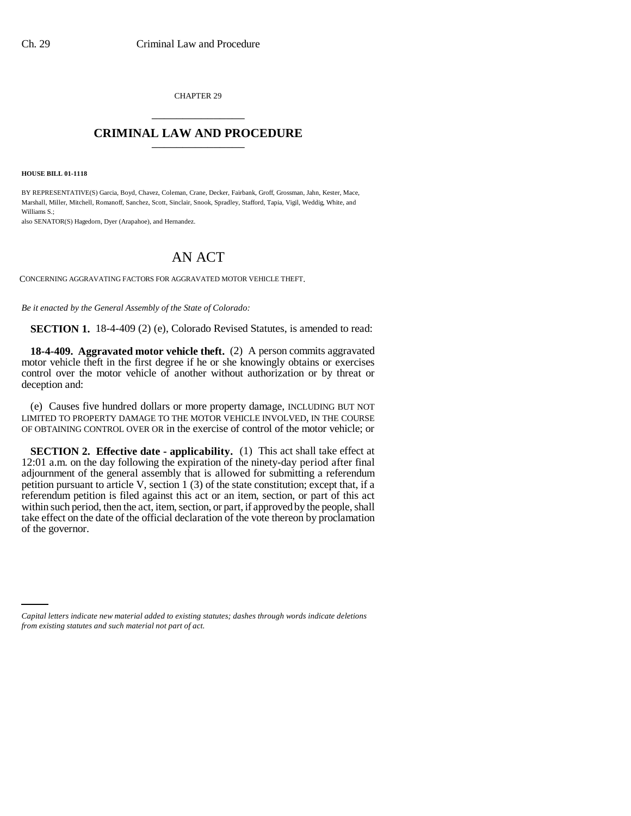CHAPTER 29 \_\_\_\_\_\_\_\_\_\_\_\_\_\_\_

## **CRIMINAL LAW AND PROCEDURE** \_\_\_\_\_\_\_\_\_\_\_\_\_\_\_

**HOUSE BILL 01-1118**

BY REPRESENTATIVE(S) Garcia, Boyd, Chavez, Coleman, Crane, Decker, Fairbank, Groff, Grossman, Jahn, Kester, Mace, Marshall, Miller, Mitchell, Romanoff, Sanchez, Scott, Sinclair, Snook, Spradley, Stafford, Tapia, Vigil, Weddig, White, and Williams S.;

also SENATOR(S) Hagedorn, Dyer (Arapahoe), and Hernandez.

## AN ACT

CONCERNING AGGRAVATING FACTORS FOR AGGRAVATED MOTOR VEHICLE THEFT.

*Be it enacted by the General Assembly of the State of Colorado:*

**SECTION 1.** 18-4-409 (2) (e), Colorado Revised Statutes, is amended to read:

**18-4-409. Aggravated motor vehicle theft.** (2) A person commits aggravated motor vehicle theft in the first degree if he or she knowingly obtains or exercises control over the motor vehicle of another without authorization or by threat or deception and:

(e) Causes five hundred dollars or more property damage, INCLUDING BUT NOT LIMITED TO PROPERTY DAMAGE TO THE MOTOR VEHICLE INVOLVED, IN THE COURSE OF OBTAINING CONTROL OVER OR in the exercise of control of the motor vehicle; or

**SECTION 2. Effective date - applicability.** (1) This act shall take effect at 12:01 a.m. on the day following the expiration of the ninety-day period after final adjournment of the general assembly that is allowed for submitting a referendum petition pursuant to article V, section 1 (3) of the state constitution; except that, if a referendum petition is filed against this act or an item, section, or part of this act within such period, then the act, item, section, or part, if approved by the people, shall take effect on the date of the official declaration of the vote thereon by proclamation of the governor.

*Capital letters indicate new material added to existing statutes; dashes through words indicate deletions from existing statutes and such material not part of act.*